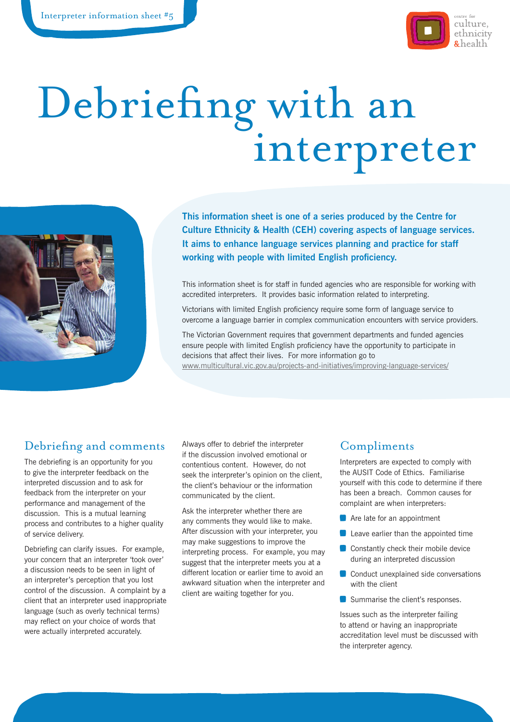

# Debriefing with an interpreter



**This information sheet is one of a series produced by the Centre for Culture Ethnicity & Health (CEH) covering aspects of language services. It aims to enhance language services planning and practice for staff working with people with limited English proficiency.**

This information sheet is for staff in funded agencies who are responsible for working with accredited interpreters. It provides basic information related to interpreting.

Victorians with limited English proficiency require some form of language service to overcome a language barrier in complex communication encounters with service providers.

The Victorian Government requires that government departments and funded agencies ensure people with limited English proficiency have the opportunity to participate in decisions that affect their lives. For more information go to www.multicultural.vic.gov.au/projects-and-initiatives/improving-language-services/

## Debriefing and comments

The debriefing is an opportunity for you to give the interpreter feedback on the interpreted discussion and to ask for feedback from the interpreter on your performance and management of the discussion. This is a mutual learning process and contributes to a higher quality of service delivery.

Debriefing can clarify issues. For example, your concern that an interpreter 'took over' a discussion needs to be seen in light of an interpreter's perception that you lost control of the discussion. A complaint by a client that an interpreter used inappropriate language (such as overly technical terms) may reflect on your choice of words that were actually interpreted accurately.

Always offer to debrief the interpreter if the discussion involved emotional or contentious content. However, do not seek the interpreter's opinion on the client, the client's behaviour or the information communicated by the client.

Ask the interpreter whether there are any comments they would like to make. After discussion with your interpreter, you may make suggestions to improve the interpreting process. For example, you may suggest that the interpreter meets you at a different location or earlier time to avoid an awkward situation when the interpreter and client are waiting together for you.

## Compliments

Interpreters are expected to comply with the AUSIT Code of Ethics. Familiarise yourself with this code to determine if there has been a breach. Common causes for complaint are when interpreters:

- **Are late for an appointment**
- **Leave earlier than the appointed time**
- Constantly check their mobile device during an interpreted discussion
- Conduct unexplained side conversations with the client
- Summarise the client's responses.

Issues such as the interpreter failing to attend or having an inappropriate accreditation level must be discussed with the interpreter agency.